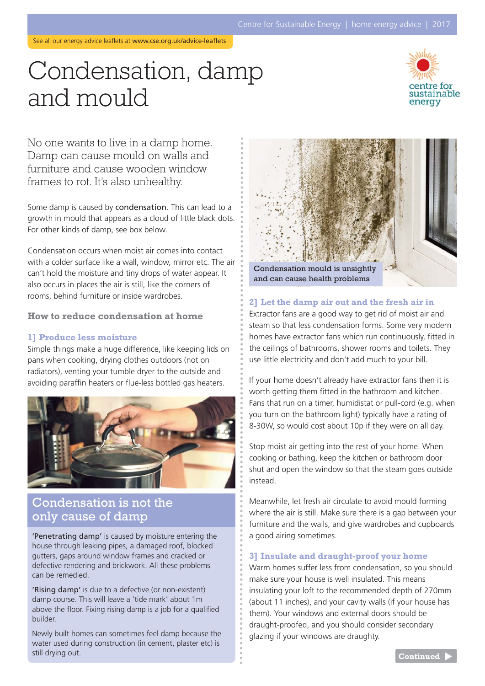# Condensation, damp and mould



No one wants to live in a damp home. Damp can cause mould on walls and furniture and cause wooden window frames to rot. It's also unhealthy.

Some damp is caused by condensation. This can lead to a growth in mould that appears as a cloud of little black dots. For other kinds of damp, see box below.

Condensation occurs when moist air comes into contact with a colder surface like a wall, window, mirror etc. The air can't hold the moisture and tiny drops of water appear. It also occurs in places the air is still, like the corners of rooms, behind furniture or inside wardrobes.

#### **How to reduce condensation at home**

#### **1] Produce less moisture**

Simple things make a huge difference, like keeping lids on pans when cooking, drying clothes outdoors (not on radiators), venting your tumble dryer to the outside and avoiding paraffin heaters or flue-less bottled gas heaters.



### Condensation is not the only cause of damp

'Penetrating damp' is caused by moisture entering the house through leaking pipes, a damaged roof, blocked gutters, gaps around window frames and cracked or defective rendering and brickwork. All these problems can be remedied.

'Rising damp' is due to a defective (or non-existent) damp course. This will leave a 'tide mark' about 1m above the floor. Fixing rising damp is a job for a qualified builder.

Newly built homes can sometimes feel damp because the water used during construction (in cement, plaster etc) is still drying out.



#### **2] Let the damp air out and the fresh air in**

Extractor fans are a good way to get rid of moist air and steam so that less condensation forms. Some very modern homes have extractor fans which run continuously, fitted in the ceilings of bathrooms, shower rooms and toilets. They use little electricity and don't add much to your bill.

If your home doesn't already have extractor fans then it is worth getting them fitted in the bathroom and kitchen. Fans that run on a timer, humidistat or pull-cord (e.g. when you turn on the bathroom light) typically have a rating of 8-30W, so would cost about 10p if they were on all day.

Stop moist air getting into the rest of your home. When cooking or bathing, keep the kitchen or bathroom door shut and open the window so that the steam goes outside instead.

Meanwhile, let fresh air circulate to avoid mould forming where the air is still. Make sure there is a gap between your furniture and the walls, and give wardrobes and cupboards a good airing sometimes.

#### **3] Insulate and draught-proof your home**

Warm homes suffer less from condensation, so you should make sure your house is well insulated. This means insulating your loft to the recommended depth of 270mm (about 11 inches), and your cavity walls (if your house has them). Your windows and external doors should be draught-proofed, and you should consider secondary glazing if your windows are draughty.